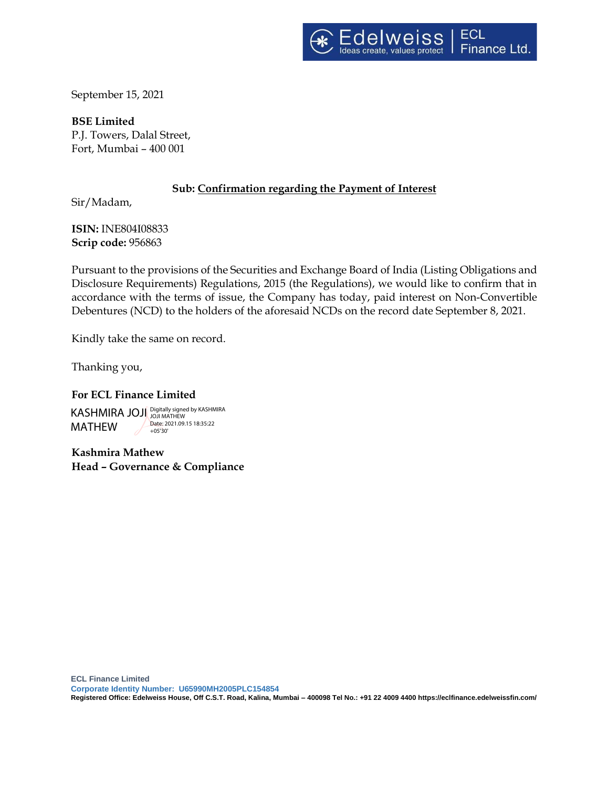September 15, 2021

**BSE Limited** P.J. Towers, Dalal Street, Fort, Mumbai – 400 001

# **Sub: Confirmation regarding the Payment of Interest**

Sir/Madam,

**ISIN:** INE804I08833 **Scrip code:** 956863

Pursuant to the provisions of the Securities and Exchange Board of India (Listing Obligations and Disclosure Requirements) Regulations, 2015 (the Regulations), we would like to confirm that in accordance with the terms of issue, the Company has today, paid interest on Non-Convertible Debentures (NCD) to the holders of the aforesaid NCDs on the record date September 8, 2021.

Kindly take the same on record.

Thanking you,

# **For ECL Finance Limited**

KASHMIRA JOJI Digitally signed by KASHMIRA MATHEW Date: 2021.09.15 18:35:22 +05'30'

**Kashmira Mathew Head – Governance & Compliance**